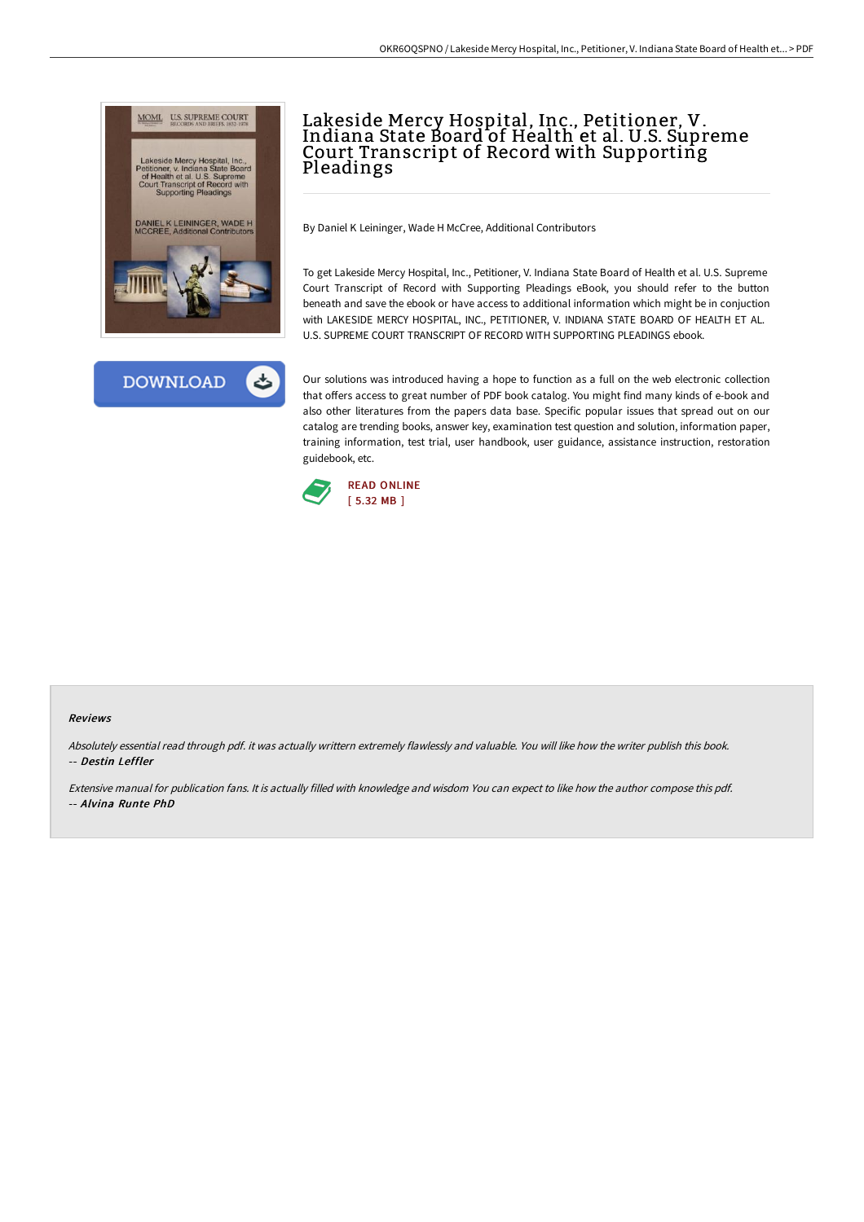



# Lakeside Mercy Hospital, Inc., Petitioner, V. Indiana State Board of Health et al. U.S. Supreme Court Transcript of Record with Supporting Pleadings

By Daniel K Leininger, Wade H McCree, Additional Contributors

To get Lakeside Mercy Hospital, Inc., Petitioner, V. Indiana State Board of Health et al. U.S. Supreme Court Transcript of Record with Supporting Pleadings eBook, you should refer to the button beneath and save the ebook or have access to additional information which might be in conjuction with LAKESIDE MERCY HOSPITAL, INC., PETITIONER, V. INDIANA STATE BOARD OF HEALTH ET AL. U.S. SUPREME COURT TRANSCRIPT OF RECORD WITH SUPPORTING PLEADINGS ebook.

Our solutions was introduced having a hope to function as a full on the web electronic collection that offers access to great number of PDF book catalog. You might find many kinds of e-book and also other literatures from the papers data base. Specific popular issues that spread out on our catalog are trending books, answer key, examination test question and solution, information paper, training information, test trial, user handbook, user guidance, assistance instruction, restoration guidebook, etc.



#### Reviews

Absolutely essential read through pdf. it was actually writtern extremely flawlessly and valuable. You will like how the writer publish this book. -- Destin Leffler

Extensive manual for publication fans. It is actually filled with knowledge and wisdom You can expect to like how the author compose this pdf. -- Alvina Runte PhD